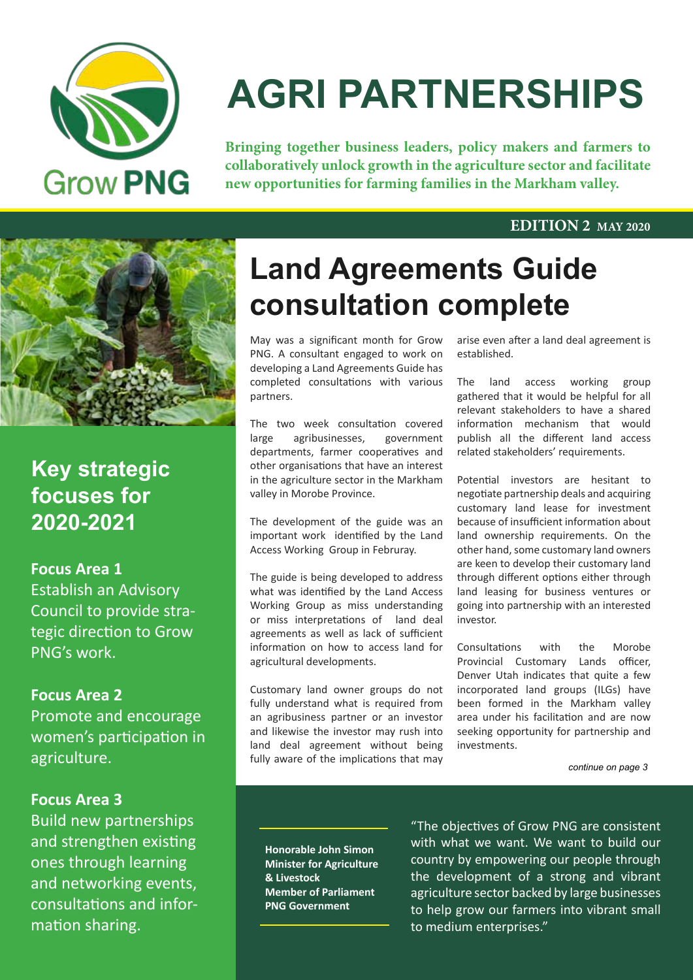

# **AGRI PARTNERSHIPS**

**Bringing together business leaders, policy makers and farmers to collaboratively unlock growth in the agriculture sector and facilitate new opportunities for farming families in the Markham valley.**

#### **EDITION 2 MAY 2020**



**Key strategic focuses for 2020-2021**

**Focus Area 1** Establish an Advisory Council to provide strategic direction to Grow PNG's work.

**Focus Area 2** Promote and encourage women's participation in agriculture.

#### **Focus Area 3**

Build new partnerships and strengthen existing ones through learning and networking events, consultations and information sharing.

### **Land Agreements Guide consultation complete**

May was a significant month for Grow PNG. A consultant engaged to work on developing a Land Agreements Guide has completed consultations with various partners.

The two week consultation covered large agribusinesses, government departments, farmer cooperatives and other organisations that have an interest in the agriculture sector in the Markham valley in Morobe Province.

The development of the guide was an important work identified by the Land Access Working Group in Februray.

The guide is being developed to address what was identified by the Land Access Working Group as miss understanding or miss interpretations of land deal agreements as well as lack of sufficient information on how to access land for agricultural developments.

Customary land owner groups do not fully understand what is required from an agribusiness partner or an investor and likewise the investor may rush into land deal agreement without being fully aware of the implications that may

arise even after a land deal agreement is established.

The land access working group gathered that it would be helpful for all relevant stakeholders to have a shared information mechanism that would publish all the different land access related stakeholders' requirements.

Potential investors are hesitant to negotiate partnership deals and acquiring customary land lease for investment because of insufficient information about land ownership requirements. On the other hand, some customary land owners are keen to develop their customary land through different options either through land leasing for business ventures or going into partnership with an interested investor.

Consultations with the Morobe Provincial Customary Lands officer, Denver Utah indicates that quite a few incorporated land groups (ILGs) have been formed in the Markham valley area under his facilitation and are now seeking opportunity for partnership and investments.

*continue on page 3*

**Honorable John Simon Minister for Agriculture & Livestock Member of Parliament PNG Government**

"The objectives of Grow PNG are consistent with what we want. We want to build our country by empowering our people through the development of a strong and vibrant agriculture sector backed by large businesses to help grow our farmers into vibrant small to medium enterprises."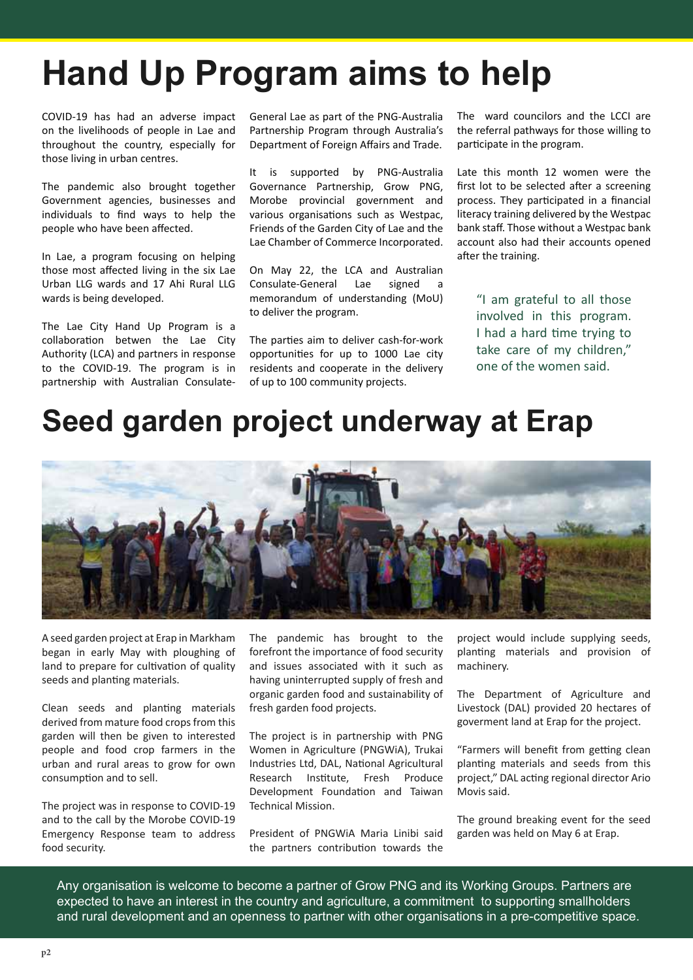## **Hand Up Program aims to help**

COVID-19 has had an adverse impact on the livelihoods of people in Lae and throughout the country, especially for those living in urban centres.

The pandemic also brought together Government agencies, businesses and individuals to find ways to help the people who have been affected.

In Lae, a program focusing on helping those most affected living in the six Lae Urban LLG wards and 17 Ahi Rural LLG wards is being developed.

The Lae City Hand Up Program is a collaboration betwen the Lae City Authority (LCA) and partners in response to the COVID-19. The program is in partnership with Australian ConsulateGeneral Lae as part of the PNG-Australia Partnership Program through Australia's Department of Foreign Affairs and Trade.

It is supported by PNG-Australia Governance Partnership, Grow PNG, Morobe provincial government and various organisations such as Westpac, Friends of the Garden City of Lae and the Lae Chamber of Commerce Incorporated.

On May 22, the LCA and Australian Consulate-General Lae signed memorandum of understanding (MoU) to deliver the program.

The parties aim to deliver cash-for-work opportunities for up to 1000 Lae city residents and cooperate in the delivery of up to 100 community projects.

The ward councilors and the LCCI are the referral pathways for those willing to participate in the program.

Late this month 12 women were the first lot to be selected after a screening process. They participated in a financial literacy training delivered by the Westpac bank staff. Those without a Westpac bank account also had their accounts opened after the training.

"I am grateful to all those involved in this program. I had a hard time trying to take care of my children," one of the women said.

### **Seed garden project underway at Erap**



A seed garden project at Erap in Markham began in early May with ploughing of land to prepare for cultivation of quality seeds and planting materials.

Clean seeds and planting materials derived from mature food crops from this garden will then be given to interested people and food crop farmers in the urban and rural areas to grow for own consumption and to sell.

The project was in response to COVID-19 and to the call by the Morobe COVID-19 Emergency Response team to address food security.

The pandemic has brought to the forefront the importance of food security and issues associated with it such as having uninterrupted supply of fresh and organic garden food and sustainability of fresh garden food projects.

The project is in partnership with PNG Women in Agriculture (PNGWiA), Trukai Industries Ltd, DAL, National Agricultural Research Institute, Fresh Produce Development Foundation and Taiwan Technical Mission.

President of PNGWiA Maria Linibi said the partners contribution towards the

project would include supplying seeds, planting materials and provision of machinery.

The Department of Agriculture and Livestock (DAL) provided 20 hectares of goverment land at Erap for the project.

"Farmers will benefit from getting clean planting materials and seeds from this project," DAL acting regional director Ario Movis said.

The ground breaking event for the seed garden was held on May 6 at Erap.

Any organisation is welcome to become a partner of Grow PNG and its Working Groups. Partners are expected to have an interest in the country and agriculture, a commitment to supporting smallholders and rural development and an openness to partner with other organisations in a pre-competitive space.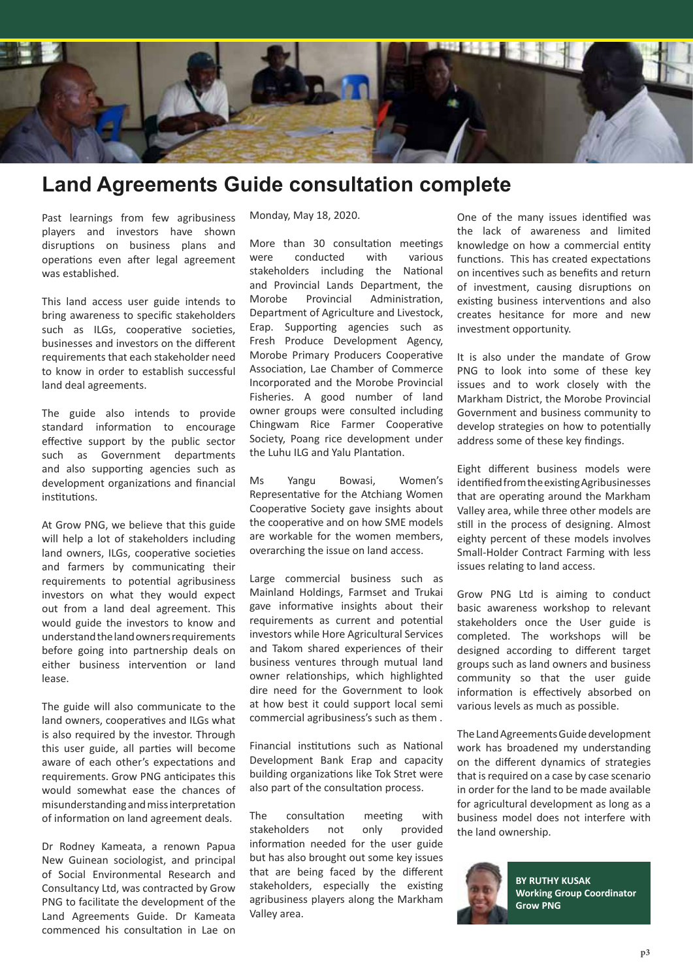

### **Land Agreements Guide consultation complete**

Past learnings from few agribusiness players and investors have shown disruptions on business plans and operations even after legal agreement was established.

This land access user guide intends to bring awareness to specific stakeholders such as ILGs, cooperative societies, businesses and investors on the different requirements that each stakeholder need to know in order to establish successful land deal agreements.

The guide also intends to provide standard information to encourage effective support by the public sector such as Government departments and also supporting agencies such as development organizations and financial institutions.

At Grow PNG, we believe that this guide will help a lot of stakeholders including land owners, ILGs, cooperative societies and farmers by communicating their requirements to potential agribusiness investors on what they would expect out from a land deal agreement. This would guide the investors to know and understand the land owners requirements before going into partnership deals on either business intervention or land lease.

The guide will also communicate to the land owners, cooperatives and ILGs what is also required by the investor. Through this user guide, all parties will become aware of each other's expectations and requirements. Grow PNG anticipates this would somewhat ease the chances of misunderstanding and miss interpretation of information on land agreement deals.

Dr Rodney Kameata, a renown Papua New Guinean sociologist, and principal of Social Environmental Research and Consultancy Ltd, was contracted by Grow PNG to facilitate the development of the Land Agreements Guide. Dr Kameata commenced his consultation in Lae on Monday, May 18, 2020.

More than 30 consultation meetings were conducted with various stakeholders including the National and Provincial Lands Department, the Morobe Provincial Administration, Department of Agriculture and Livestock, Erap. Supporting agencies such as Fresh Produce Development Agency, Morobe Primary Producers Cooperative Association, Lae Chamber of Commerce Incorporated and the Morobe Provincial Fisheries. A good number of land owner groups were consulted including Chingwam Rice Farmer Cooperative Society, Poang rice development under the Luhu ILG and Yalu Plantation.

Ms Yangu Bowasi, Women's Representative for the Atchiang Women Cooperative Society gave insights about the cooperative and on how SME models are workable for the women members, overarching the issue on land access.

Large commercial business such as Mainland Holdings, Farmset and Trukai gave informative insights about their requirements as current and potential investors while Hore Agricultural Services and Takom shared experiences of their business ventures through mutual land owner relationships, which highlighted dire need for the Government to look at how best it could support local semi commercial agribusiness's such as them .

Financial institutions such as National Development Bank Erap and capacity building organizations like Tok Stret were also part of the consultation process.

The consultation meeting with stakeholders not only provided information needed for the user guide but has also brought out some key issues that are being faced by the different stakeholders, especially the existing agribusiness players along the Markham Valley area.

One of the many issues identified was the lack of awareness and limited knowledge on how a commercial entity functions. This has created expectations on incentives such as benefits and return of investment, causing disruptions on existing business interventions and also creates hesitance for more and new investment opportunity.

It is also under the mandate of Grow PNG to look into some of these key issues and to work closely with the Markham District, the Morobe Provincial Government and business community to develop strategies on how to potentially address some of these key findings.

Eight different business models were identified from the existing Agribusinesses that are operating around the Markham Valley area, while three other models are still in the process of designing. Almost eighty percent of these models involves Small-Holder Contract Farming with less issues relating to land access.

Grow PNG Ltd is aiming to conduct basic awareness workshop to relevant stakeholders once the User guide is completed. The workshops will be designed according to different target groups such as land owners and business community so that the user guide information is effectively absorbed on various levels as much as possible.

The Land Agreements Guide development work has broadened my understanding on the different dynamics of strategies that is required on a case by case scenario in order for the land to be made available for agricultural development as long as a business model does not interfere with the land ownership.



**BY RUTHY KUSAK Working Group Coordinator Grow PNG**